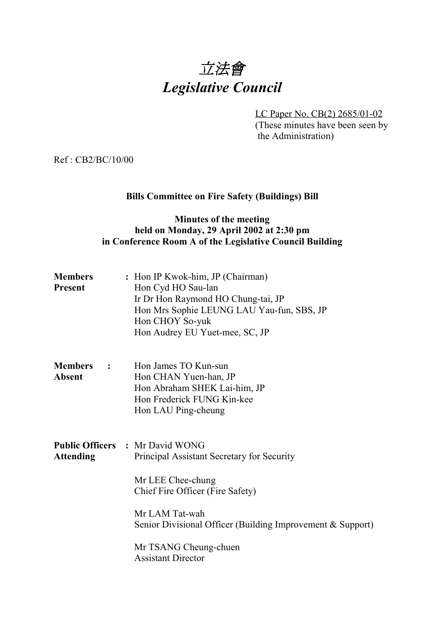

LC Paper No. CB(2) 2685/01-02 (These minutes have been seen by the Administration)

Ref : CB2/BC/10/00

### **Bills Committee on Fire Safety (Buildings) Bill**

### **Minutes of the meeting held on Monday, 29 April 2002 at 2:30 pm in Conference Room A of the Legislative Council Building**

| <b>Members</b> | : Hon IP Kwok-him, JP (Chairman)          |
|----------------|-------------------------------------------|
| <b>Present</b> | Hon Cyd HO Sau-lan                        |
|                | Ir Dr Hon Raymond HO Chung-tai, JP        |
|                | Hon Mrs Sophie LEUNG LAU Yau-fun, SBS, JP |
|                | Hon CHOY So-yuk                           |
|                | Hon Audrey EU Yuet-mee, SC, JP            |

| <b>Members</b> | $\sim$ 1.000 $\sim$ | Hon James TO Kun-sun         |
|----------------|---------------------|------------------------------|
| Absent         |                     | Hon CHAN Yuen-han, JP        |
|                |                     | Hon Abraham SHEK Lai-him, JP |
|                |                     | Hon Frederick FUNG Kin-kee   |
|                |                     | Hon LAU Ping-cheung          |

**Public Officers :** Mr David WONG Attending Principal Assistant Secretary for Security

> Mr LEE Chee-chung Chief Fire Officer (Fire Safety)

Mr LAM Tat-wah Senior Divisional Officer (Building Improvement & Support)

Mr TSANG Cheung-chuen Assistant Director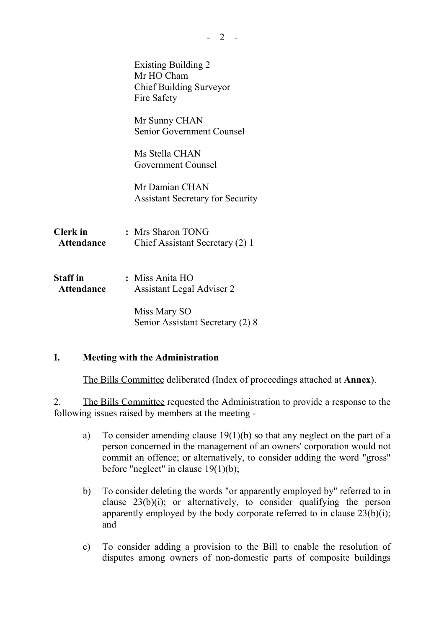|                                      | <b>Existing Building 2</b><br>Mr HO Cham<br><b>Chief Building Surveyor</b><br>Fire Safety |
|--------------------------------------|-------------------------------------------------------------------------------------------|
|                                      | Mr Sunny CHAN<br><b>Senior Government Counsel</b>                                         |
|                                      | Ms Stella CHAN<br>Government Counsel                                                      |
|                                      | Mr Damian CHAN<br><b>Assistant Secretary for Security</b>                                 |
| <b>Clerk</b> in<br>Attendance        | : Mrs Sharon TONG<br>Chief Assistant Secretary (2) 1                                      |
| <b>Staff</b> in<br><b>Attendance</b> | : Miss Anita HO<br><b>Assistant Legal Adviser 2</b>                                       |
|                                      | Miss Mary SO<br>Senior Assistant Secretary (2) 8                                          |

## **I. Meeting with the Administration**

The Bills Committee deliberated (Index of proceedings attached at **Annex**).

2. The Bills Committee requested the Administration to provide a response to the following issues raised by members at the meeting -

- a) To consider amending clause 19(1)(b) so that any neglect on the part of a person concerned in the management of an owners' corporation would not commit an offence; or alternatively, to consider adding the word "gross" before "neglect" in clause 19(1)(b);
- b) To consider deleting the words "or apparently employed by" referred to in clause  $23(b)(i)$ ; or alternatively, to consider qualifying the person apparently employed by the body corporate referred to in clause  $23(b)(i)$ ; and
- c) To consider adding a provision to the Bill to enable the resolution of disputes among owners of non-domestic parts of composite buildings

 $- 2 -$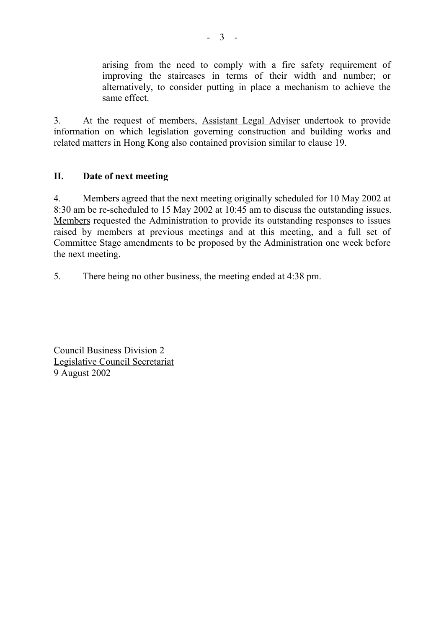arising from the need to comply with a fire safety requirement of improving the staircases in terms of their width and number; or alternatively, to consider putting in place a mechanism to achieve the same effect.

3. At the request of members, Assistant Legal Adviser undertook to provide information on which legislation governing construction and building works and related matters in Hong Kong also contained provision similar to clause 19.

### **II. Date of next meeting**

4. Members agreed that the next meeting originally scheduled for 10 May 2002 at 8:30 am be re-scheduled to 15 May 2002 at 10:45 am to discuss the outstanding issues. Members requested the Administration to provide its outstanding responses to issues raised by members at previous meetings and at this meeting, and a full set of Committee Stage amendments to be proposed by the Administration one week before the next meeting.

5. There being no other business, the meeting ended at 4:38 pm.

Council Business Division 2 Legislative Council Secretariat 9 August 2002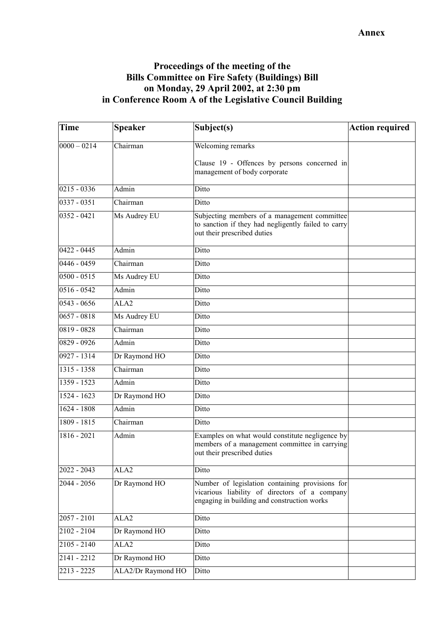### **Proceedings of the meeting of the Bills Committee on Fire Safety (Buildings) Bill on Monday, 29 April 2002, at 2:30 pm in Conference Room A of the Legislative Council Building**

| <b>Time</b>              | <b>Speaker</b>     | Subject(s)                                                                                                                                      | <b>Action required</b> |
|--------------------------|--------------------|-------------------------------------------------------------------------------------------------------------------------------------------------|------------------------|
| $0000 - 0214$            | Chairman           | Welcoming remarks                                                                                                                               |                        |
|                          |                    | Clause 19 - Offences by persons concerned in<br>management of body corporate                                                                    |                        |
| $0215 - 0336$            | Admin              | Ditto                                                                                                                                           |                        |
| $\overline{0337} - 0351$ | Chairman           | Ditto                                                                                                                                           |                        |
| $0352 - 0421$            | Ms Audrey EU       | Subjecting members of a management committee<br>to sanction if they had negligently failed to carry<br>out their prescribed duties              |                        |
| $0422 - 0445$            | Admin              | Ditto                                                                                                                                           |                        |
| $0446 - 0459$            | Chairman           | Ditto                                                                                                                                           |                        |
| $0500 - 0515$            | Ms Audrey EU       | Ditto                                                                                                                                           |                        |
| 0516 - 0542              | Admin              | Ditto                                                                                                                                           |                        |
| $0543 - 0656$            | ALA <sub>2</sub>   | Ditto                                                                                                                                           |                        |
| $0657 - 0818$            | Ms Audrey EU       | Ditto                                                                                                                                           |                        |
| 0819 - 0828              | Chairman           | Ditto                                                                                                                                           |                        |
| $0829 - 0926$            | Admin              | Ditto                                                                                                                                           |                        |
| $0927 - 1314$            | Dr Raymond HO      | Ditto                                                                                                                                           |                        |
| 1315 - 1358              | Chairman           | Ditto                                                                                                                                           |                        |
| $1359 - 1523$            | Admin              | Ditto                                                                                                                                           |                        |
| 1524 - 1623              | Dr Raymond HO      | Ditto                                                                                                                                           |                        |
| $1624 - 1808$            | Admin              | Ditto                                                                                                                                           |                        |
| $1809 - 1815$            | Chairman           | Ditto                                                                                                                                           |                        |
| 1816 - 2021              | Admin              | Examples on what would constitute negligence by<br>members of a management committee in carrying<br>out their prescribed duties                 |                        |
| $2022 - 2043$            | ALA <sub>2</sub>   | Ditto                                                                                                                                           |                        |
| $2044 - 2056$            | Dr Raymond HO      | Number of legislation containing provisions for<br>vicarious liability of directors of a company<br>engaging in building and construction works |                        |
| $2057 - 2101$            | ALA <sub>2</sub>   | Ditto                                                                                                                                           |                        |
| $2102 - 2104$            | Dr Raymond HO      | Ditto                                                                                                                                           |                        |
| $2105 - 2140$            | ALA <sub>2</sub>   | Ditto                                                                                                                                           |                        |
| 2141 - 2212              | Dr Raymond HO      | Ditto                                                                                                                                           |                        |
| 2213 - 2225              | ALA2/Dr Raymond HO | Ditto                                                                                                                                           |                        |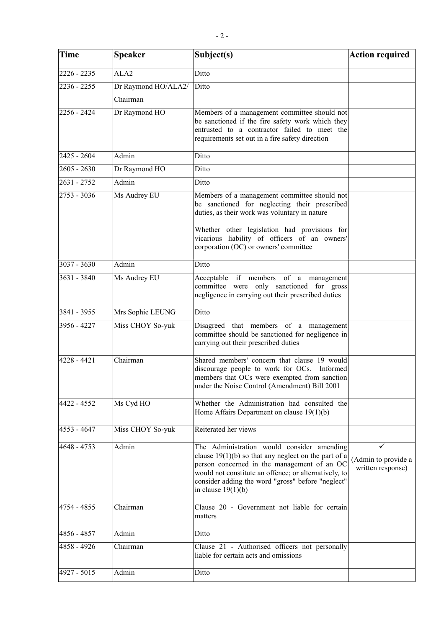| <b>Time</b>   | <b>Speaker</b>                  | Subject(s)                                                                                                                                                                                                                                                                                | <b>Action required</b>                        |
|---------------|---------------------------------|-------------------------------------------------------------------------------------------------------------------------------------------------------------------------------------------------------------------------------------------------------------------------------------------|-----------------------------------------------|
| $2226 - 2235$ | ALA <sub>2</sub>                | Ditto                                                                                                                                                                                                                                                                                     |                                               |
| $2236 - 2255$ | Dr Raymond HO/ALA2/<br>Chairman | Ditto                                                                                                                                                                                                                                                                                     |                                               |
| $2256 - 2424$ | Dr Raymond HO                   | Members of a management committee should not<br>be sanctioned if the fire safety work which they<br>entrusted to a contractor failed to meet the<br>requirements set out in a fire safety direction                                                                                       |                                               |
| 2425 - 2604   | Admin                           | Ditto                                                                                                                                                                                                                                                                                     |                                               |
| $2605 - 2630$ | Dr Raymond HO                   | Ditto                                                                                                                                                                                                                                                                                     |                                               |
| 2631 - 2752   | Admin                           | Ditto                                                                                                                                                                                                                                                                                     |                                               |
| $2753 - 3036$ | Ms Audrey EU                    | Members of a management committee should not<br>be sanctioned for neglecting their prescribed<br>duties, as their work was voluntary in nature<br>Whether other legislation had provisions for<br>vicarious liability of officers of an owners'<br>corporation (OC) or owners' committee  |                                               |
| $3037 - 3630$ | Admin                           | Ditto                                                                                                                                                                                                                                                                                     |                                               |
| $3631 - 3840$ | Ms Audrey EU                    | Acceptable if members of a management<br>committee were only sanctioned for gross<br>negligence in carrying out their prescribed duties                                                                                                                                                   |                                               |
| 3841 - 3955   | Mrs Sophie LEUNG                | Ditto                                                                                                                                                                                                                                                                                     |                                               |
| 3956 - 4227   | Miss CHOY So-yuk                | Disagreed that members of a management<br>committee should be sanctioned for negligence in<br>carrying out their prescribed duties                                                                                                                                                        |                                               |
| $4228 - 4421$ | Chairman                        | Shared members' concern that clause 19 would<br>discourage people to work for OCs. Informed<br>members that OCs were exempted from sanction<br>under the Noise Control (Amendment) Bill 2001                                                                                              |                                               |
| 4422 - 4552   | Ms CydHO                        | Whether the Administration had consulted the<br>Home Affairs Department on clause 19(1)(b)                                                                                                                                                                                                |                                               |
| 4553 - 4647   | Miss CHOY So-yuk                | Reiterated her views                                                                                                                                                                                                                                                                      |                                               |
| 4648 - 4753   | Admin                           | The Administration would consider amending<br>clause $19(1)(b)$ so that any neglect on the part of a<br>person concerned in the management of an OC<br>would not constitute an offence; or alternatively, to<br>consider adding the word "gross" before "neglect"<br>in clause $19(1)(b)$ | ✓<br>(Admin to provide a<br>written response) |
| 4754 - 4855   | Chairman                        | Clause 20 - Government not liable for certain<br>matters                                                                                                                                                                                                                                  |                                               |
| 4856 - 4857   | Admin                           | Ditto                                                                                                                                                                                                                                                                                     |                                               |
| 4858 - 4926   | Chairman                        | Clause 21 - Authorised officers not personally<br>liable for certain acts and omissions                                                                                                                                                                                                   |                                               |
| $4927 - 5015$ | Admin                           | Ditto                                                                                                                                                                                                                                                                                     |                                               |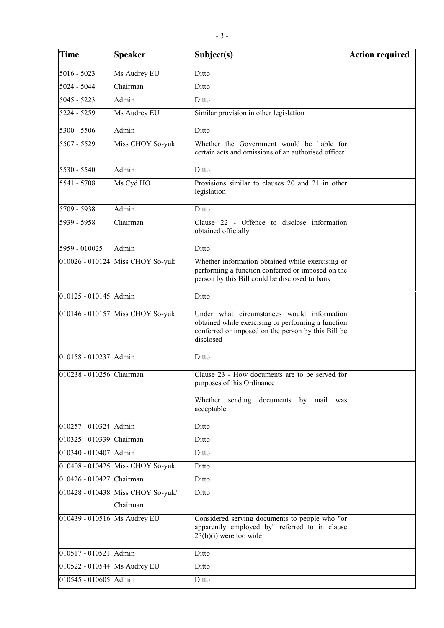| <b>Time</b>                  | <b>Speaker</b>                    | Subject(s)                                                                                                                                                          | <b>Action required</b> |
|------------------------------|-----------------------------------|---------------------------------------------------------------------------------------------------------------------------------------------------------------------|------------------------|
| $5016 - 5023$                | Ms Audrey EU                      | Ditto                                                                                                                                                               |                        |
| $5024 - 5044$                | Chairman                          | Ditto                                                                                                                                                               |                        |
| $5045 - 5223$                | Admin                             | Ditto                                                                                                                                                               |                        |
| 5224 - 5259                  | Ms Audrey EU                      | Similar provision in other legislation                                                                                                                              |                        |
| $5300 - 5506$                | Admin                             | Ditto                                                                                                                                                               |                        |
| 5507 - 5529                  | Miss CHOY So-yuk                  | Whether the Government would be liable for<br>certain acts and omissions of an authorised officer                                                                   |                        |
| 5530 - 5540                  | Admin                             | Ditto                                                                                                                                                               |                        |
| 5541 - 5708                  | Ms Cyd HO                         | Provisions similar to clauses 20 and 21 in other<br>legislation                                                                                                     |                        |
| $5709 - 5938$                | Admin                             | Ditto                                                                                                                                                               |                        |
| 5939 - 5958                  | Chairman                          | Clause 22 - Offence to disclose information<br>obtained officially                                                                                                  |                        |
| 5959 - 010025                | Admin                             | Ditto                                                                                                                                                               |                        |
|                              | 010026 - 010124 Miss CHOY So-yuk  | Whether information obtained while exercising or<br>performing a function conferred or imposed on the<br>person by this Bill could be disclosed to bank             |                        |
| 010125 - 010145 Admin        |                                   | Ditto                                                                                                                                                               |                        |
|                              | 010146 - 010157 Miss CHOY So-yuk  | Under what circumstances would information<br>obtained while exercising or performing a function<br>conferred or imposed on the person by this Bill be<br>disclosed |                        |
| 010158 - 010237 Admin        |                                   | Ditto                                                                                                                                                               |                        |
| 010238 - 010256 Chairman     |                                   | Clause 23 - How documents are to be served for<br>purposes of this Ordinance<br>sending documents by mail was<br>Whether<br>acceptable                              |                        |
| 010257 - 010324 Admin        |                                   | Ditto                                                                                                                                                               |                        |
| 010325 - 010339 Chairman     |                                   | Ditto                                                                                                                                                               |                        |
| 010340 - 010407 Admin        |                                   | Ditto                                                                                                                                                               |                        |
|                              | 010408 - 010425 Miss CHOY So-yuk  | Ditto                                                                                                                                                               |                        |
| 010426 - 010427 Chairman     |                                   | Ditto                                                                                                                                                               |                        |
|                              | 010428 - 010438 Miss CHOY So-yuk/ | Ditto                                                                                                                                                               |                        |
| 010439 - 010516 Ms Audrey EU | Chairman                          | Considered serving documents to people who "or<br>apparently employed by" referred to in clause<br>$23(b)(i)$ were too wide                                         |                        |
| 010517 - 010521 Admin        |                                   | Ditto                                                                                                                                                               |                        |
| 010522 - 010544 Ms Audrey EU |                                   | Ditto                                                                                                                                                               |                        |
| 010545 - 010605 Admin        |                                   | Ditto                                                                                                                                                               |                        |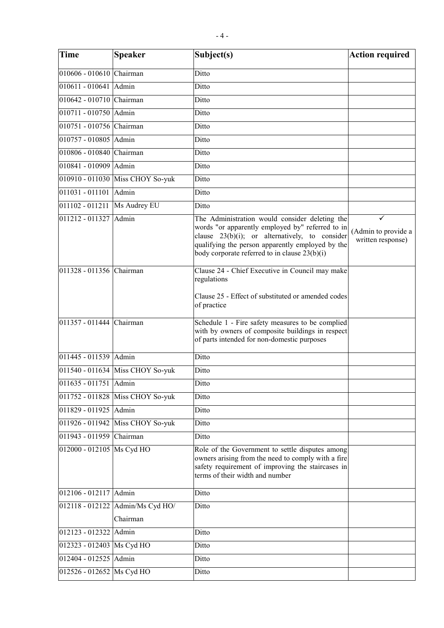| <b>Time</b>               | <b>Speaker</b>                               | Subject(s)                                                                                                                                                                                                                                                     | <b>Action required</b>                        |
|---------------------------|----------------------------------------------|----------------------------------------------------------------------------------------------------------------------------------------------------------------------------------------------------------------------------------------------------------------|-----------------------------------------------|
| 010606 - 010610 Chairman  |                                              | Ditto                                                                                                                                                                                                                                                          |                                               |
| 010611 - 010641 Admin     |                                              | Ditto                                                                                                                                                                                                                                                          |                                               |
| 010642 - 010710 Chairman  |                                              | Ditto                                                                                                                                                                                                                                                          |                                               |
| 010711 - 010750 Admin     |                                              | Ditto                                                                                                                                                                                                                                                          |                                               |
| 010751 - 010756 Chairman  |                                              | Ditto                                                                                                                                                                                                                                                          |                                               |
| 010757 - 010805 Admin     |                                              | Ditto                                                                                                                                                                                                                                                          |                                               |
| 010806 - 010840 Chairman  |                                              | Ditto                                                                                                                                                                                                                                                          |                                               |
| 010841 - 010909 Admin     |                                              | Ditto                                                                                                                                                                                                                                                          |                                               |
|                           | 010910 - 011030 Miss CHOY So-yuk             | Ditto                                                                                                                                                                                                                                                          |                                               |
| 011031 - 011101           | Admin                                        | Ditto                                                                                                                                                                                                                                                          |                                               |
| 011102 - 011211           | Ms Audrey EU                                 | Ditto                                                                                                                                                                                                                                                          |                                               |
| $011212 - 011327$         | Admin                                        | The Administration would consider deleting the<br>words "or apparently employed by" referred to in<br>clause $23(b)(i)$ ; or alternatively, to consider<br>qualifying the person apparently employed by the<br>body corporate referred to in clause $23(b)(i)$ | ✓<br>(Admin to provide a<br>written response) |
| 011328 - 011356 Chairman  |                                              | Clause 24 - Chief Executive in Council may make<br>regulations<br>Clause 25 - Effect of substituted or amended codes<br>of practice                                                                                                                            |                                               |
| 011357 - 011444 Chairman  |                                              | Schedule 1 - Fire safety measures to be complied<br>with by owners of composite buildings in respect<br>of parts intended for non-domestic purposes                                                                                                            |                                               |
| 011445 - 011539 Admin     |                                              | Ditto                                                                                                                                                                                                                                                          |                                               |
|                           | 011540 - 011634 Miss CHOY So-yuk             | Ditto                                                                                                                                                                                                                                                          |                                               |
| 011635 - 011751 Admin     |                                              | Ditto                                                                                                                                                                                                                                                          |                                               |
|                           | 011752 - 011828 Miss CHOY So-yuk             | Ditto                                                                                                                                                                                                                                                          |                                               |
| 011829 - 011925 Admin     |                                              | Ditto                                                                                                                                                                                                                                                          |                                               |
|                           | 011926 - 011942 Miss CHOY So-yuk             | Ditto                                                                                                                                                                                                                                                          |                                               |
| 011943 - 011959 Chairman  |                                              | Ditto                                                                                                                                                                                                                                                          |                                               |
| 012000 - 012105 Ms Cyd HO |                                              | Role of the Government to settle disputes among<br>owners arising from the need to comply with a fire<br>safety requirement of improving the staircases in<br>terms of their width and number                                                                  |                                               |
| 012106 - 012117 Admin     |                                              | Ditto                                                                                                                                                                                                                                                          |                                               |
|                           | 012118 - 012122 Admin/Ms Cyd HO/<br>Chairman | Ditto                                                                                                                                                                                                                                                          |                                               |
| 012123 - 012322           | Admin                                        | Ditto                                                                                                                                                                                                                                                          |                                               |
| 012323 - 012403 Ms Cyd HO |                                              | Ditto                                                                                                                                                                                                                                                          |                                               |
| 012404 - 012525 Admin     |                                              | Ditto                                                                                                                                                                                                                                                          |                                               |
| 012526 - 012652 Ms Cyd HO |                                              | Ditto                                                                                                                                                                                                                                                          |                                               |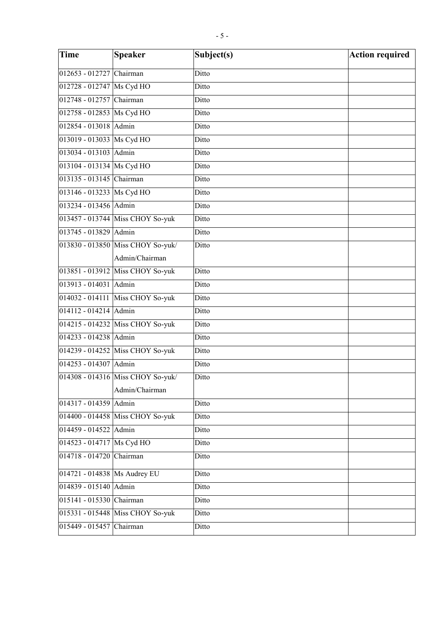| <b>Time</b>                    | <b>Speaker</b>                    | Subject(s) | <b>Action required</b> |
|--------------------------------|-----------------------------------|------------|------------------------|
| 012653 - 012727 Chairman       |                                   | Ditto      |                        |
| 012728 - 012747 Ms Cyd HO      |                                   | Ditto      |                        |
| 012748 - 012757 Chairman       |                                   | Ditto      |                        |
| 012758 - 012853 Ms Cyd HO      |                                   | Ditto      |                        |
| 012854 - 013018 Admin          |                                   | Ditto      |                        |
| 013019 - 013033 Ms Cyd HO      |                                   | Ditto      |                        |
| 013034 - 013103 Admin          |                                   | Ditto      |                        |
| 013104 - 013134 Ms Cyd HO      |                                   | Ditto      |                        |
| 013135 - 013145 Chairman       |                                   | Ditto      |                        |
| 013146 - 013233 Ms Cyd HO      |                                   | Ditto      |                        |
| 013234 - 013456 Admin          |                                   | Ditto      |                        |
|                                | 013457 - 013744 Miss CHOY So-yuk  | Ditto      |                        |
| 013745 - 013829 Admin          |                                   | Ditto      |                        |
|                                | 013830 - 013850 Miss CHOY So-yuk/ | Ditto      |                        |
|                                | Admin/Chairman                    |            |                        |
|                                | 013851 - 013912 Miss CHOY So-yuk  | Ditto      |                        |
| 013913 - 014031 Admin          |                                   | Ditto      |                        |
|                                | 014032 - 014111 Miss CHOY So-yuk  | Ditto      |                        |
| 014112 - 014214 Admin          |                                   | Ditto      |                        |
|                                | 014215 - 014232 Miss CHOY So-yuk  | Ditto      |                        |
| 014233 - 014238 Admin          |                                   | Ditto      |                        |
|                                | 014239 - 014252 Miss CHOY So-yuk  | Ditto      |                        |
| 014253 - 014307 Admin          |                                   | Ditto      |                        |
|                                | 014308 - 014316 Miss CHOY So-yuk/ | Ditto      |                        |
|                                | Admin/Chairman                    |            |                        |
| 014317 - 014359 Admin          |                                   | Ditto      |                        |
|                                | 014400 - 014458 Miss CHOY So-yuk  | Ditto      |                        |
| 014459 - 014522 Admin          |                                   | Ditto      |                        |
| 014523 - 014717 Ms Cyd HO      |                                   | Ditto      |                        |
| $014718 - 014720$              | Chairman                          | Ditto      |                        |
| 014721 - 014838   Ms Audrey EU |                                   | Ditto      |                        |
| 014839 - 015140 Admin          |                                   | Ditto      |                        |
| 015141 - 015330 Chairman       |                                   | Ditto      |                        |
|                                | 015331 - 015448 Miss CHOY So-yuk  | Ditto      |                        |
| 015449 - 015457                | Chairman                          | Ditto      |                        |